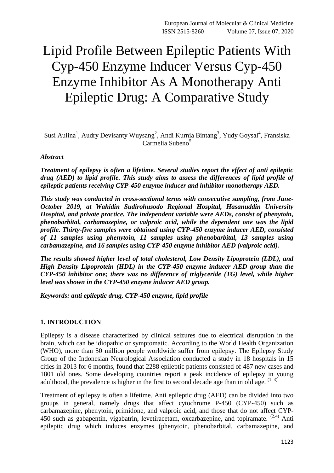# Lipid Profile Between Epileptic Patients With Cyp-450 Enzyme Inducer Versus Cyp-450 Enzyme Inhibitor As A Monotherapy Anti Epileptic Drug: A Comparative Study

Susi Aulina<sup>1</sup>, Audry Devisanty Wuysang<sup>2</sup>, Andi Kurnia Bintang<sup>3</sup>, Yudy Goysal<sup>4</sup>, Fransiska Carmelia Subeno<sup>5</sup>

#### *Abstract*

*Treatment of epilepsy is often a lifetime. Several studies report the effect of anti epileptic drug (AED) to lipid profile. This study aims to assess the differences of lipid profile of epileptic patients receiving CYP-450 enzyme inducer and inhibitor monotherapy AED.*

*This study was conducted in cross-sectional terms with consecutive sampling, from June-October 2019, at Wahidin Sudirohusodo Regional Hospital, Hasanuddin University Hospital, and private practice. The independent variable were AEDs, consist of phenytoin, phenobarbital, carbamazepine, or valproic acid, while the dependent one was the lipid profile. Thirty-five samples were obtained using CYP-450 enzyme inducer AED, consisted of 11 samples using phenytoin, 11 samples using phenobarbital, 13 samples using carbamazepine, and 16 samples using CYP-450 enzyme inhibitor AED (valproic acid).*

*The results showed higher level of total cholesterol, Low Density Lipoprotein (LDL), and High Density Lipoprotein (HDL) in the CYP-450 enzyme inducer AED group than the CYP-450 inhibitor one; there was no difference of triglyceride (TG) level, while higher level was shown in the CYP-450 enzyme inducer AED group.*

*Keywords: anti epileptic drug, CYP-450 enzyme, lipid profile*

#### **1. INTRODUCTION**

Epilepsy is a disease characterized by clinical seizures due to electrical disruption in the brain, which can be idiopathic or symptomatic. According to the World Health Organization (WHO), more than 50 million people worldwide suffer from epilepsy. The Epilepsy Study Group of the Indonesian Neurological Association conducted a study in 18 hospitals in 15 cities in 2013 for 6 months, found that 2288 epileptic patients consisted of 487 new cases and 1801 old ones. Some developing countries report a peak incidence of epilepsy in young adulthood, the prevalence is higher in the first to second decade age than in old age.  $(1-3)$ 

Treatment of epilepsy is often a lifetime. Anti epileptic drug (AED) can be divided into two groups in general, namely drugs that affect cytochrome P-450 (CYP-450) such as carbamazepine, phenytoin, primidone, and valproic acid, and those that do not affect CYP-450 such as gabapentin, vigabatrin, levetiracetam, oxcarbazepine, and topiramate.  $(2,4)$  Anti epileptic drug which induces enzymes (phenytoin, phenobarbital, carbamazepine, and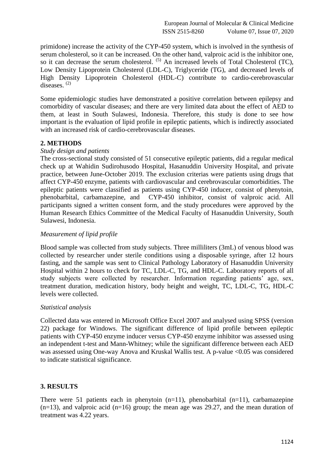primidone) increase the activity of the CYP-450 system, which is involved in the synthesis of serum cholesterol, so it can be increased. On the other hand, valproic acid is the inhibitor one, so it can decrease the serum cholesterol.  $(5)$  An increased levels of Total Cholesterol (TC), Low Density Lipoprotein Cholesterol (LDL-C), Triglyceride (TG), and decreased levels of High Density Lipoprotein Cholesterol (HDL-C) contribute to cardio-cerebrovascular diseases. (2)

Some epidemiologic studies have demonstrated a positive correlation between epilepsy and comorbidity of vascular diseases; and there are very limited data about the effect of AED to them, at least in South Sulawesi, Indonesia. Therefore, this study is done to see how important is the evaluation of lipid profile in epileptic patients, which is indirectly associated with an increased risk of cardio-cerebrovascular diseases.

## **2. METHODS**

#### *Study design and patients*

The cross-sectional study consisted of 51 consecutive epileptic patients, did a regular medical check up at Wahidin Sudirohusodo Hospital, Hasanuddin University Hospital, and private practice, between June-October 2019. The exclusion criterias were patients using drugs that affect CYP-450 enzyme, patients with cardiovascular and cerebrovascular comorbidities. The epileptic patients were classified as patients using CYP-450 inducer, consist of phenytoin, phenobarbital, carbamazepine, and CYP-450 inhibitor, consist of valproic acid. All participants signed a written consent form, and the study procedures were approved by the Human Research Ethics Committee of the Medical Faculty of Hasanuddin University, South Sulawesi, Indonesia.

### *Measurement of lipid profile*

Blood sample was collected from study subjects. Three milliliters (3mL) of venous blood was collected by researcher under sterile conditions using a disposable syringe, after 12 hours fasting, and the sample was sent to Clinical Pathology Laboratory of Hasanuddin University Hospital within 2 hours to check for TC, LDL-C, TG, and HDL-C. Laboratory reports of all study subjects were collected by researcher. Information regarding patients' age, sex, treatment duration, medication history, body height and weight, TC, LDL-C, TG, HDL-C levels were collected.

#### *Statistical analysis*

Collected data was entered in Microsoft Office Excel 2007 and analysed using SPSS (version 22) package for Windows. The significant difference of lipid profile between epileptic patients with CYP-450 enzyme inducer versus CYP-450 enzyme inhibitor was assessed using an independent t-test and Mann-Whitney; while the significant difference between each AED was assessed using One-way Anova and Kruskal Wallis test. A p-value <0.05 was considered to indicate statistical significance.

#### **3. RESULTS**

There were 51 patients each in phenytoin  $(n=11)$ , phenobarbital  $(n=11)$ , carbamazepine  $(n=13)$ , and valproic acid  $(n=16)$  group; the mean age was 29.27, and the mean duration of treatment was 4.22 years.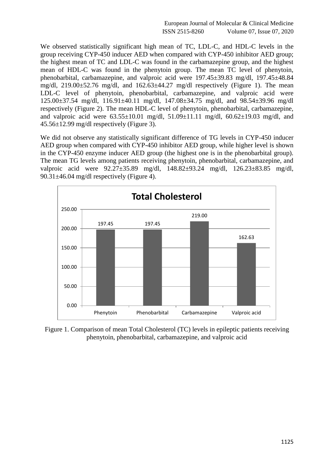European Journal of Molecular & Clinical Medicine ISSN 2515-8260 Volume 07, Issue 07, 2020

We observed statistically significant high mean of TC, LDL-C, and HDL-C levels in the group receiving CYP-450 inducer AED when compared with CYP-450 inhibitor AED group; the highest mean of TC and LDL-C was found in the carbamazepine group, and the highest mean of HDL-C was found in the phenytoin group. The mean TC level of phenytoin, phenobarbital, carbamazepine, and valproic acid were 197.45±39.83 mg/dl, 197.45±48.84 mg/dl, 219.00±52.76 mg/dl, and 162.63±44.27 mg/dl respectively (Figure 1). The mean LDL-C level of phenytoin, phenobarbital, carbamazepine, and valproic acid were 125.00±37.54 mg/dl, 116.91±40.11 mg/dl, 147.08±34.75 mg/dl, and 98.54±39.96 mg/dl respectively (Figure 2). The mean HDL-C level of phenytoin, phenobarbital, carbamazepine, and valproic acid were  $63.55 \pm 10.01$  mg/dl,  $51.09 \pm 11.11$  mg/dl,  $60.62 \pm 19.03$  mg/dl, and 45.56±12.99 mg/dl respectively (Figure 3).

We did not observe any statistically significant difference of TG levels in CYP-450 inducer AED group when compared with CYP-450 inhibitor AED group, while higher level is shown in the CYP-450 enzyme inducer AED group (the highest one is in the phenobarbital group). The mean TG levels among patients receiving phenytoin, phenobarbital, carbamazepine, and valproic acid were 92.27±35.89 mg/dl, 148.82±93.24 mg/dl, 126.23±83.85 mg/dl, 90.31±46.04 mg/dl respectively (Figure 4).



Figure 1. Comparison of mean Total Cholesterol (TC) levels in epileptic patients receiving phenytoin, phenobarbital, carbamazepine, and valproic acid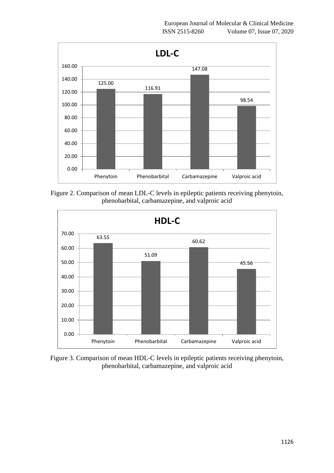

Figure 2. Comparison of mean LDL-C levels in epileptic patients receiving phenytoin, phenobarbital, carbamazepine, and valproic acid



Figure 3. Comparison of mean HDL-C levels in epileptic patients receiving phenytoin, phenobarbital, carbamazepine, and valproic acid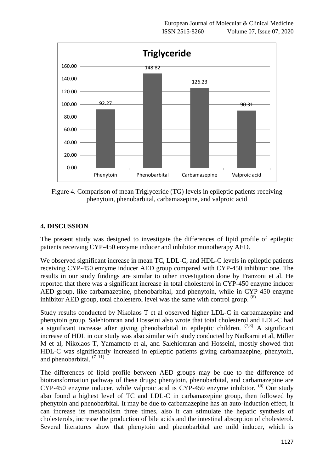

Figure 4. Comparison of mean Triglyceride (TG) levels in epileptic patients receiving phenytoin, phenobarbital, carbamazepine, and valproic acid

## **4. DISCUSSION**

The present study was designed to investigate the differences of lipid profile of epileptic patients receiving CYP-450 enzyme inducer and inhibitor monotherapy AED.

We observed significant increase in mean TC, LDL-C, and HDL-C levels in epileptic patients receiving CYP-450 enzyme inducer AED group compared with CYP-450 inhibitor one. The results in our study findings are similar to other investigation done by Franzoni et al. He reported that there was a significant increase in total cholesterol in CYP-450 enzyme inducer AED group, like carbamazepine, phenobarbital, and phenytoin, while in CYP-450 enzyme inhibitor AED group, total cholesterol level was the same with control group.  $^{(6)}$ 

Study results conducted by Nikolaos T et al observed higher LDL-C in carbamazepine and phenytoin group. Salehiomran and Hosseini also wrote that total cholesterol and LDL-C had a significant increase after giving phenobarbital in epileptic children.  $(7,8)$  A significant increase of HDL in our study was also similar with study conducted by Nadkarni et al, Miller M et al, Nikolaos T, Yamamoto et al, and Salehiomran and Hosseini, mostly showed that HDL-C was significantly increased in epileptic patients giving carbamazepine, phenytoin, and phenobarbital.  $(7-11)$ 

The differences of lipid profile between AED groups may be due to the difference of biotransformation pathway of these drugs; phenytoin, phenobarbital, and carbamazepine are CYP-450 enzyme inducer, while valproic acid is CYP-450 enzyme inhibitor.  $^{(6)}$  Our study also found a highest level of TC and LDL-C in carbamazepine group, then followed by phenytoin and phenobarbital. It may be due to carbamazepine has an auto-induction effect, it can increase its metabolism three times, also it can stimulate the hepatic synthesis of cholesterols, increase the production of bile acids and the intestinal absorption of cholesterol. Several literatures show that phenytoin and phenobarbital are mild inducer, which is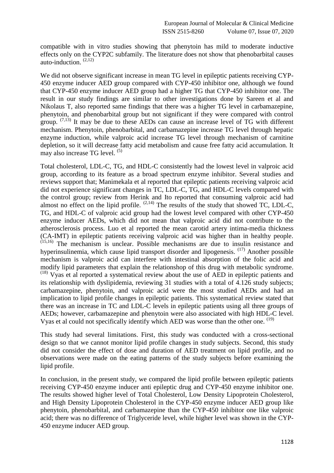compatible with in vitro studies showing that phenytoin has mild to moderate inductive effects only on the CYP2C subfamily. The literature does not show that phenobarbital causes auto-induction.  $(2,12)$ 

We did not observe significant increase in mean TG level in epileptic patients receiving CYP-450 enzyme inducer AED group compared with CYP-450 inhibitor one, although we found that CYP-450 enzyme inducer AED group had a higher TG that CYP-450 inhibitor one. The result in our study findings are similar to other investigations done by Sareen et al and Nikolaus T, also reported same findings that there was a higher TG level in carbamazepine, phenytoin, and phenobarbital group but not significant if they were compared with control group.  $(7,13)$  It may be due to these AEDs can cause an increase level of TG with different mechanism. Phenytoin, phenobarbital, and carbamazepine increase TG level through hepatic enzyme induction, while valproic acid increase TG level through mechanism of carnitine depletion, so it will decrease fatty acid metabolism and cause free fatty acid accumulation. It may also increase TG level. (5)

Total cholesterol, LDL-C, TG, and HDL-C consistently had the lowest level in valproic acid group, according to its feature as a broad spectrum enzyme inhibitor. Several studies and reviews support that; Manimekala et al reported that epileptic patients receiving valproic acid did not experience significant changes in TC, LDL-C, TG, and HDL-C levels compared with the control group; review from Herink and Ito reported that consuming valproic acid had almost no effect on the lipid profile.  $(2,14)$  The results of the study that showed TC, LDL-C, TG, and HDL-C of valproic acid group had the lowest level compared with other CYP-450 enzyme inducer AEDs, which did not mean that valproic acid did not contribute to the atherosclerosis process. Luo et al reported the mean carotid artery intima-media thickness (CA-IMT) in epileptic patients receiving valproic acid was higher than in healthy people. (15,16) The mechanism is unclear. Possible mechanisms are due to insulin resistance and hyperinsulinemia, which cause lipid transport disorder and lipogenesis.  $(17)$  Another possible mechanism is valproic acid can interfere with intestinal absorption of the folic acid and modify lipid parameters that explain the relationshop of this drug with metabolic syndrome. (18) Vyas et al reported a systematical review about the use of AED in epileptic patients and its relationship with dyslipidemia, reviewing 31 studies with a total of 4.126 study subjects; carbamazepine, phenytoin, and valproic acid were the most studied AEDs and had an implication to lipid profile changes in epileptic patients. This systematical review stated that there was an increase in TC and LDL-C levels in epileptic patients using all three groups of AEDs; however, carbamazepine and phenytoin were also associated with high HDL-C level. Vyas et al could not specifically identify which AED was worse than the other one. <sup>(19)</sup>

This study had several limitations. First, this study was conducted with a cross-sectional design so that we cannot monitor lipid profile changes in study subjects. Second, this study did not consider the effect of dose and duration of AED treatment on lipid profile, and no observations were made on the eating patterns of the study subjects before examining the lipid profile.

In conclusion, in the present study, we compared the lipid profile between epileptic patients receiving CYP-450 enzyme inducer anti epileptic drug and CYP-450 enzyme inhibitor one. The results showed higher level of Total Cholesterol, Low Density Lipoprotein Cholesterol, and High Density Lipoprotein Cholesterol in the CYP-450 enzyme inducer AED group like phenytoin, phenobarbital, and carbamazepine than the CYP-450 inhibitor one like valproic acid; there was no difference of Triglyceride level, while higher level was shown in the CYP-450 enzyme inducer AED group.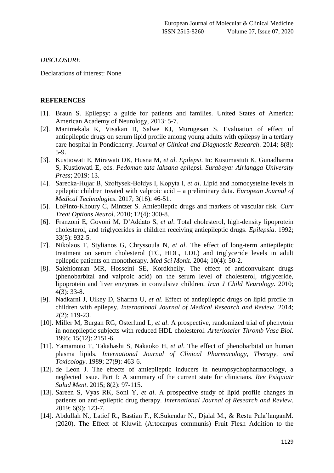#### *DISCLOSURE*

Declarations of interest: None

#### **REFERENCES**

- [1]. Braun S. Epilepsy: a guide for patients and families. United States of America: American Academy of Neurology, 2013: 5-7.
- [2]. Manimekala K, Visakan B, Salwe KJ, Murugesan S. Evaluation of effect of antiepileptic drugs on serum lipid profile among young adults with epilepsy in a tertiary care hospital in Pondicherry. *Journal of Clinical and Diagnostic Research*. 2014; 8(8): 5-9.
- [3]. Kustiowati E, Mirawati DK, Husna M, *et al. Epilepsi*. In: Kusumastuti K, Gunadharma S, Kustiowati E, eds. *Pedoman tata laksana epilepsi. Surabaya: Airlangga University Press*; 2019: 13.
- [4]. Sarecka-Hujar B, Szołtysek-Bołdys I, Kopyta I, *et al*. Lipid and homocysteine levels in epileptic children treated with valproic acid – a preliminary data. *European Journal of Medical Technologies*. 2017; 3(16): 46-51.
- [5]. LoPinto-Khoury C, Mintzer S. Antiepileptic drugs and markers of vascular risk. *Curr Treat Options Neurol*. 2010; 12(4): 300-8.
- [6]. Franzoni E, Govoni M, D'Addato S, *et al*. Total cholesterol, high-density lipoprotein cholesterol, and triglycerides in children receiving antiepileptic drugs. *Epilepsia*. 1992; 33(5): 932-5.
- [7]. Nikolaos T, Stylianos G, Chryssoula N, *et al*. The effect of long-term antiepileptic treatment on serum cholesterol (TC, HDL, LDL) and triglyceride levels in adult epileptic patients on monotherapy. *Med Sci Monit*. 2004; 10(4): 50-2.
- [8]. Salehiomran MR, Hosseini SE, Kordkheily. The effect of anticonvulsant drugs (phenobarbital and valproic acid) on the serum level of cholesterol, triglyceride, lipoprotein and liver enzymes in convulsive children. *Iran J Child Neurology*. 2010; 4(3): 33-8.
- [9]. Nadkarni J, Uikey D, Sharma U, *et al*. Effect of antiepileptic drugs on lipid profile in children with epilepsy. *International Journal of Medical Research and Review*. 2014; 2(2): 119-23.
- [10]. Miller M, Burgan RG, Osterlund L, *et al*. A prospective, randomized trial of phenytoin in nonepileptic subjects with reduced HDL cholesterol. *Arterioscler Thromb Vasc Biol*. 1995; 15(12): 2151-6.
- [11]. Yamamoto T, Takahashi S, Nakaoko H, *et al*. The effect of phenobarbital on human plasma lipids. *International Journal of Clinical Pharmacology, Therapy, and Toxicology*. 1989; 27(9): 463-6.
- [12]. de Leon J. The effects of antiepileptic inducers in neuropsychopharmacology, a neglected issue. Part I: A summary of the current state for clinicians. *Rev Psiquiatr Salud Ment*. 2015; 8(2): 97-115.
- [13]. Sareen S, Vyas RK, Soni Y, *et al*. A prospective study of lipid profile changes in patients on anti-epileptic drug therapy. *International Journal of Research and Review*. 2019; 6(9): 123-7.
- [14]. Abdullah N., Latief R., Bastian F., K.Sukendar N., Djalal M., & Restu Pala'langanM. (2020). The Effect of Kluwih (Artocarpus communis) Fruit Flesh Addition to the